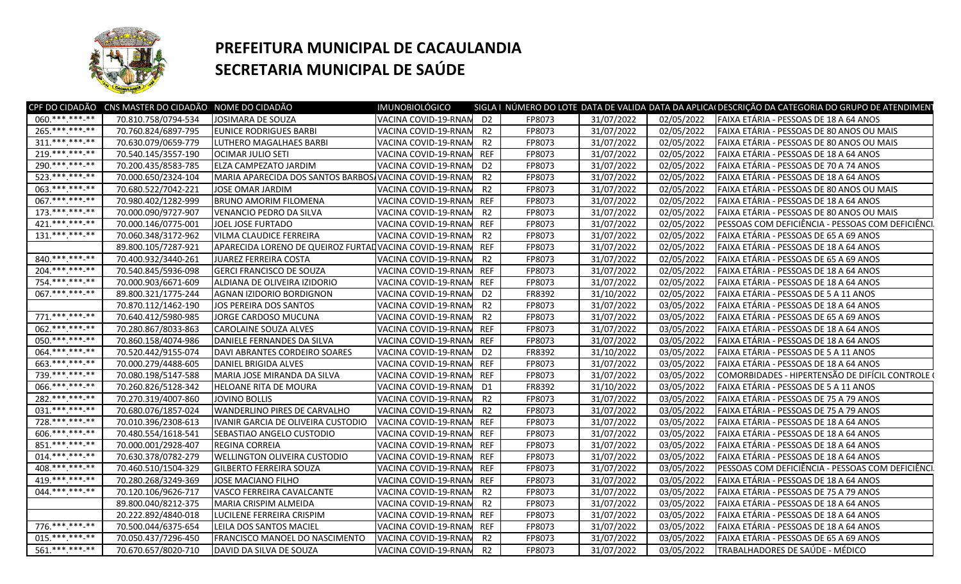

## **PREFEITURA MUNICIPAL DE CACAULANDIA SECRETARIA MUNICIPAL DE SAÚDE**

|                   | CPF DO CIDADÃO CNS MASTER DO CIDADÃO NOME DO CIDADÃO |                                                         | <b>IMUNOBIOLÓGICO</b>   |                |        |            |            | SIGLA I NÚMERO DO LOTE DATA DE VALIDA DATA DA APLICAI DESCRIÇÃO DA CATEGORIA DO GRUPO DE ATENDIMEN |
|-------------------|------------------------------------------------------|---------------------------------------------------------|-------------------------|----------------|--------|------------|------------|----------------------------------------------------------------------------------------------------|
| 060.***.***-**    | 70.810.758/0794-534                                  | JOSIMARA DE SOUZA                                       | VACINA COVID-19-RNAM D2 |                | FP8073 | 31/07/2022 | 02/05/2022 | FAIXA ETÁRIA - PESSOAS DE 18 A 64 ANOS                                                             |
| 265.***.***-**    | 70.760.824/6897-795                                  | <b>EUNICE RODRIGUES BARBI</b>                           | VACINA COVID-19-RNAM    | R <sub>2</sub> | FP8073 | 31/07/2022 | 02/05/2022 | FAIXA ETÁRIA - PESSOAS DE 80 ANOS OU MAIS                                                          |
| $311.****.**.**$  | 70.630.079/0659-779                                  | LUTHERO MAGALHAES BARBI                                 | VACINA COVID-19-RNAN    | R <sub>2</sub> | FP8073 | 31/07/2022 | 02/05/2022 | FAIXA ETÁRIA - PESSOAS DE 80 ANOS OU MAIS                                                          |
| 219.***.***.**    | 70.540.145/3557-190                                  | OCIMAR JULIO SETI                                       | VACINA COVID-19-RNAM    | <b>REF</b>     | FP8073 | 31/07/2022 | 02/05/2022 | FAIXA ETÁRIA - PESSOAS DE 18 A 64 ANOS                                                             |
| 290.*** *** **    | 70.200.435/8583-785                                  | ELZA CAMPEZATO JARDIM                                   | VACINA COVID-19-RNAM    | D <sub>2</sub> | FP8073 | 31/07/2022 | 02/05/2022 | FAIXA ETÁRIA - PESSOAS DE 70 A 74 ANOS                                                             |
| 523.**********    | 70.000.650/2324-104                                  | MARIA APARECIDA DOS SANTOS BARBOS, VACINA COVID-19-RNAN |                         | R <sub>2</sub> | FP8073 | 31/07/2022 | 02/05/2022 | FAIXA ETÁRIA - PESSOAS DE 18 A 64 ANOS                                                             |
| 063.*** ***-**    | 70.680.522/7042-221                                  | JOSE OMAR JARDIM                                        | VACINA COVID-19-RNAN    | R <sub>2</sub> | FP8073 | 31/07/2022 | 02/05/2022 | FAIXA ETÁRIA - PESSOAS DE 80 ANOS OU MAIS                                                          |
| 067. *** *** -**  | 70.980.402/1282-999                                  | <b>BRUNO AMORIM FILOMENA</b>                            | VACINA COVID-19-RNAN    | <b>REF</b>     | FP8073 | 31/07/2022 | 02/05/2022 | FAIXA ETÁRIA - PESSOAS DE 18 A 64 ANOS                                                             |
| $173$ *** *** **  | 70.000.090/9727-907                                  | VENANCIO PEDRO DA SILVA                                 | VACINA COVID-19-RNAN    | R <sub>2</sub> | FP8073 | 31/07/2022 | 02/05/2022 | FAIXA ETÁRIA - PESSOAS DE 80 ANOS OU MAIS                                                          |
| 421.*** ***-**    | 70.000.146/0775-001                                  | JOEL JOSE FURTADO                                       | VACINA COVID-19-RNAN    | <b>REF</b>     | FP8073 | 31/07/2022 | 02/05/2022 | PESSOAS COM DEFICIÊNCIA - PESSOAS COM DEFICIÊNCI                                                   |
| $131.****.**.**$  | 70.060.348/3172-962                                  | <b>VILMA CLAUDICE FERREIRA</b>                          | VACINA COVID-19-RNAN    | R <sub>2</sub> | FP8073 | 31/07/2022 | 02/05/2022 | FAIXA ETÁRIA - PESSOAS DE 65 A 69 ANOS                                                             |
|                   | 89.800.105/7287-921                                  | APARECIDA LORENO DE QUEIROZ FURTAD VACINA COVID-19-RNAM |                         | <b>REF</b>     | FP8073 | 31/07/2022 | 02/05/2022 | FAIXA ETÁRIA - PESSOAS DE 18 A 64 ANOS                                                             |
| 840.*** ***-**    | 70.400.932/3440-261                                  | <b>JUAREZ FERREIRA COSTA</b>                            | VACINA COVID-19-RNAM    | R <sub>2</sub> | FP8073 | 31/07/2022 | 02/05/2022 | FAIXA ETÁRIA - PESSOAS DE 65 A 69 ANOS                                                             |
| 204.*** ***- **   | 70.540.845/5936-098                                  | <b>GERCI FRANCISCO DE SOUZA</b>                         | VACINA COVID-19-RNAN    | <b>REF</b>     | FP8073 | 31/07/2022 | 02/05/2022 | FAIXA ETÁRIA - PESSOAS DE 18 A 64 ANOS                                                             |
| 754.***.***.**    | 70.000.903/6671-609                                  | ALDIANA DE OLIVEIRA IZIDORIO                            | VACINA COVID-19-RNAM    | <b>REF</b>     | FP8073 | 31/07/2022 | 02/05/2022 | FAIXA ETÁRIA - PESSOAS DE 18 A 64 ANOS                                                             |
| 067.**********    | 89.800.321/1775-244                                  | AGNAN IZIDORIO BORDIGNON                                | VACINA COVID-19-RNAN    | D <sub>2</sub> | FR8392 | 31/10/2022 | 02/05/2022 | FAIXA ETÁRIA - PESSOAS DE 5 A 11 ANOS                                                              |
|                   | 70.870.112/1462-190                                  | JOS PEREIRA DOS SANTOS                                  | VACINA COVID-19-RNAN    | R <sub>2</sub> | FP8073 | 31/07/2022 | 03/05/2022 | FAIXA ETÁRIA - PESSOAS DE 18 A 64 ANOS                                                             |
| 771.***.***.**    | 70.640.412/5980-985                                  | JORGE CARDOSO MUCUNA                                    | VACINA COVID-19-RNAN    | R <sub>2</sub> | FP8073 | 31/07/2022 | 03/05/2022 | FAIXA ETÁRIA - PESSOAS DE 65 A 69 ANOS                                                             |
| 062.***.****_**   | 70.280.867/8033-863                                  | <b>CAROLAINE SOUZA ALVES</b>                            | VACINA COVID-19-RNAN    | <b>REF</b>     | FP8073 | 31/07/2022 | 03/05/2022 | FAIXA ETÁRIA - PESSOAS DE 18 A 64 ANOS                                                             |
| 050.***.***.**    | 70.860.158/4074-986                                  | DANIELE FERNANDES DA SILVA                              | VACINA COVID-19-RNAN    | <b>REF</b>     | FP8073 | 31/07/2022 | 03/05/2022 | FAIXA ETÁRIA - PESSOAS DE 18 A 64 ANOS                                                             |
| 064. *** *** -**  | 70.520.442/9155-074                                  | DAVI ABRANTES CORDEIRO SOARES                           | VACINA COVID-19-RNAM    | D <sub>2</sub> | FR8392 | 31/10/2022 | 03/05/2022 | FAIXA ETÁRIA - PESSOAS DE 5 A 11 ANOS                                                              |
| 663.*** ***-**    | 70.000.279/4488-605                                  | DANIEL BRIGIDA ALVES                                    | VACINA COVID-19-RNAM    | <b>REF</b>     | FP8073 | 31/07/2022 | 03/05/2022 | FAIXA ETÁRIA - PESSOAS DE 18 A 64 ANOS                                                             |
| 739.*** *** **    | 70.080.198/5147-588                                  | MARIA JOSE MIRANDA DA SILVA                             | VACINA COVID-19-RNAM    | <b>REF</b>     | FP8073 | 31/07/2022 | 03/05/2022 | COMORBIDADES - HIPERTENSÃO DE DIFÍCIL CONTROLE                                                     |
| 066.**********    | 70.260.826/5128-342                                  | HELOANE RITA DE MOURA                                   | VACINA COVID-19-RNAM    | D <sub>1</sub> | FR8392 | 31/10/2022 | 03/05/2022 | FAIXA ETÁRIA - PESSOAS DE 5 A 11 ANOS                                                              |
| 282.***.***-**    | 70.270.319/4007-860                                  | <b>JOVINO BOLLIS</b>                                    | VACINA COVID-19-RNAM    | R <sub>2</sub> | FP8073 | 31/07/2022 | 03/05/2022 | FAIXA ETÁRIA - PESSOAS DE 75 A 79 ANOS                                                             |
| 031.**********    | 70.680.076/1857-024                                  | <b>WANDERLINO PIRES DE CARVALHO</b>                     | VACINA COVID-19-RNAM    | R <sub>2</sub> | FP8073 | 31/07/2022 | 03/05/2022 | FAIXA ETÁRIA - PESSOAS DE 75 A 79 ANOS                                                             |
| 728.***.***.**    | 70.010.396/2308-613                                  | IVANIR GARCIA DE OLIVEIRA CUSTODIO                      | VACINA COVID-19-RNAM    | <b>REF</b>     | FP8073 | 31/07/2022 | 03/05/2022 | FAIXA ETÁRIA - PESSOAS DE 18 A 64 ANOS                                                             |
| 606.**********    | 70.480.554/1618-541                                  | SEBASTIAO ANGELO CUSTODIO                               | VACINA COVID-19-RNAN    | <b>REF</b>     | FP8073 | 31/07/2022 | 03/05/2022 | FAIXA ETÁRIA - PESSOAS DE 18 A 64 ANOS                                                             |
| 851.*********     | 70.000.001/2928-407                                  | <b>REGINA CORREIA</b>                                   | VACINA COVID-19-RNAN    | <b>REF</b>     | FP8073 | 31/07/2022 | 03/05/2022 | FAIXA ETÁRIA - PESSOAS DE 18 A 64 ANOS                                                             |
| $014$ .*** ***_** | 70.630.378/0782-279                                  | WELLINGTON OLIVEIRA CUSTODIO                            | VACINA COVID-19-RNAN    | <b>REF</b>     | FP8073 | 31/07/2022 | 03/05/2022 | FAIXA ETÁRIA - PESSOAS DE 18 A 64 ANOS                                                             |
| 408 *** *** **    | 70.460.510/1504-329                                  | <b>GILBERTO FERREIRA SOUZA</b>                          | VACINA COVID-19-RNAM    | <b>REF</b>     | FP8073 | 31/07/2022 | 03/05/2022 | PESSOAS COM DEFICIÊNCIA - PESSOAS COM DEFICIÊNCI                                                   |
| 419.*** *** -**   | 70.280.268/3249-369                                  | <b>JOSE MACIANO FILHO</b>                               | VACINA COVID-19-RNAN    | <b>REF</b>     | FP8073 | 31/07/2022 | 03/05/2022 | FAIXA ETÁRIA - PESSOAS DE 18 A 64 ANOS                                                             |
| 044.***.***.**    | 70.120.106/9626-717                                  | VASCO FERREIRA CAVALCANTE                               | VACINA COVID-19-RNAM    | R <sub>2</sub> | FP8073 | 31/07/2022 | 03/05/2022 | FAIXA ETÁRIA - PESSOAS DE 75 A 79 ANOS                                                             |
|                   | 89.800.040/8212-375                                  | MARIA CRISPIM ALMEIDA                                   | VACINA COVID-19-RNAM    | R2             | FP8073 | 31/07/2022 | 03/05/2022 | FAIXA ETÁRIA - PESSOAS DE 18 A 64 ANOS                                                             |
|                   | 20.222.892/4840-018                                  | LUCILENE FERREIRA CRISPIM                               | VACINA COVID-19-RNAM    | <b>REF</b>     | FP8073 | 31/07/2022 | 03/05/2022 | FAIXA ETÁRIA - PESSOAS DE 18 A 64 ANOS                                                             |
| 776.***.***.**    | 70.500.044/6375-654                                  | LEILA DOS SANTOS MACIEL                                 | VACINA COVID-19-RNAM    | <b>REF</b>     | FP8073 | 31/07/2022 | 03/05/2022 | FAIXA ETÁRIA - PESSOAS DE 18 A 64 ANOS                                                             |
| $015.****.*****$  | 70.050.437/7296-450                                  | FRANCISCO MANOEL DO NASCIMENTO                          | VACINA COVID-19-RNAM    | R <sub>2</sub> | FP8073 | 31/07/2022 | 03/05/2022 | FAIXA ETÁRIA - PESSOAS DE 65 A 69 ANOS                                                             |
| 561.***.***-**    | 70.670.657/8020-710                                  | DAVID DA SILVA DE SOUZA                                 | VACINA COVID-19-RNAN    | R <sub>2</sub> | FP8073 | 31/07/2022 | 03/05/2022 | TRABALHADORES DE SAÚDE - MÉDICO                                                                    |